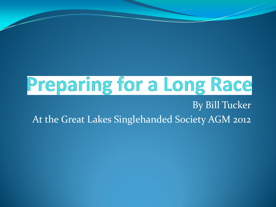#### Preparing for a Long Race By Bill Tucker

At the Great Lakes Singlehanded Society AGM 2012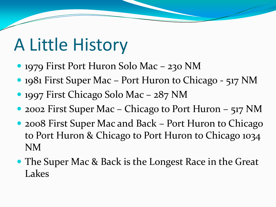### A Little History

- 1979 First Port Huron Solo Mac 230 NM
- 1981 First Super Mac Port Huron to Chicago 517 NM
- 1997 First Chicago Solo Mac 287 NM
- 2002 First Super Mac Chicago to Port Huron 517 NM
- 2008 First Super Mac and Back Port Huron to Chicago to Port Huron & Chicago to Port Huron to Chicago 1034 NM
- The Super Mac & Back is the Longest Race in the Great Lakes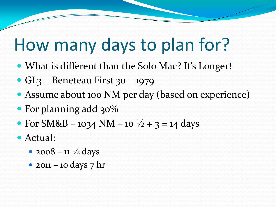#### How many days to plan for?

- What is different than the Solo Mac? It's Longer!
- GL3 Beneteau First 30 1979
- Assume about 100 NM per day (based on experience)
- For planning add 30%
- For SM&B 1034 NM 10  $\frac{1}{2}$  + 3 = 14 days
- Actual:
	- $2008 11 \frac{1}{2}$  days
	- 2011 10 days  $7$  hr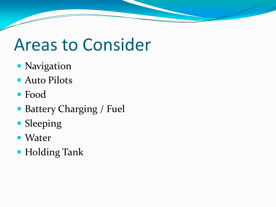#### Areas to Consider

- Navigation
- Auto Pilots
- Food
- Battery Charging / Fuel
- Sleeping
- Water
- Holding Tank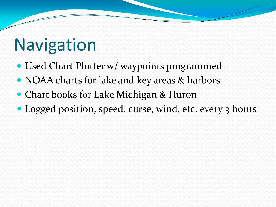## **Navigation**

- Used Chart Plotter w/ waypoints programmed
- NOAA charts for lake and key areas & harbors
- Chart books for Lake Michigan & Huron
- Logged position, speed, curse, wind, etc. every 3 hours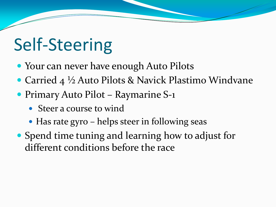## Self-Steering

- Your can never have enough Auto Pilots
- Carried 4 ½ Auto Pilots & Navick Plastimo Windvane
- Primary Auto Pilot Raymarine S-1
	- Steer a course to wind
	- Has rate gyro helps steer in following seas
- Spend time tuning and learning how to adjust for different conditions before the race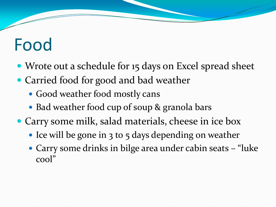### Food

- Wrote out a schedule for 15 days on Excel spread sheet
- Carried food for good and bad weather
	- Good weather food mostly cans
	- Bad weather food cup of soup & granola bars
- Carry some milk, salad materials, cheese in ice box
	- Ice will be gone in 3 to 5 days depending on weather
	- Carry some drinks in bilge area under cabin seats "luke cool"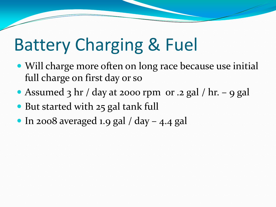### Battery Charging & Fuel

- Will charge more often on long race because use initial full charge on first day or so
- Assumed 3 hr / day at 2000 rpm or .2 gal / hr. 9 gal
- But started with 25 gal tank full
- $\bullet$  In 2008 averaged 1.9 gal / day 4.4 gal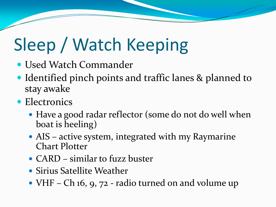# Sleep / Watch Keeping

- Used Watch Commander
- Identified pinch points and traffic lanes & planned to stay awake
- Electronics
	- Have a good radar reflector (some do not do well when boat is heeling)
	- AIS active system, integrated with my Raymarine Chart Plotter
	- CARD similar to fuzz buster
	- Sirius Satellite Weather
	- VHF Ch 16, 9, 72 radio turned on and volume up